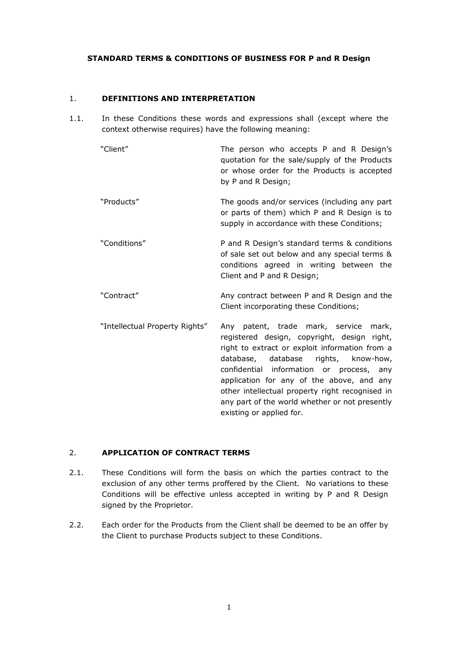#### **STANDARD TERMS & CONDITIONS OF BUSINESS FOR P and R Design**

#### 1. **DEFINITIONS AND INTERPRETATION**

- 1.1. In these Conditions these words and expressions shall (except where the context otherwise requires) have the following meaning:
	- "Client" The person who accepts P and R Design's quotation for the sale/supply of the Products or whose order for the Products is accepted by P and R Design;
	- "Products" The goods and/or services (including any part or parts of them) which P and R Design is to supply in accordance with these Conditions;
	- "Conditions" P and R Design's standard terms & conditions of sale set out below and any special terms & conditions agreed in writing between the Client and P and R Design;
	- "Contract" Any contract between P and R Design and the Client incorporating these Conditions;
	- "Intellectual Property Rights" Any patent, trade mark, service mark, registered design, copyright, design right, right to extract or exploit information from a database, database rights, know-how, confidential information or process, any application for any of the above, and any other intellectual property right recognised in any part of the world whether or not presently existing or applied for.

# 2. **APPLICATION OF CONTRACT TERMS**

- 2.1. These Conditions will form the basis on which the parties contract to the exclusion of any other terms proffered by the Client. No variations to these Conditions will be effective unless accepted in writing by P and R Design signed by the Proprietor.
- 2.2. Each order for the Products from the Client shall be deemed to be an offer by the Client to purchase Products subject to these Conditions.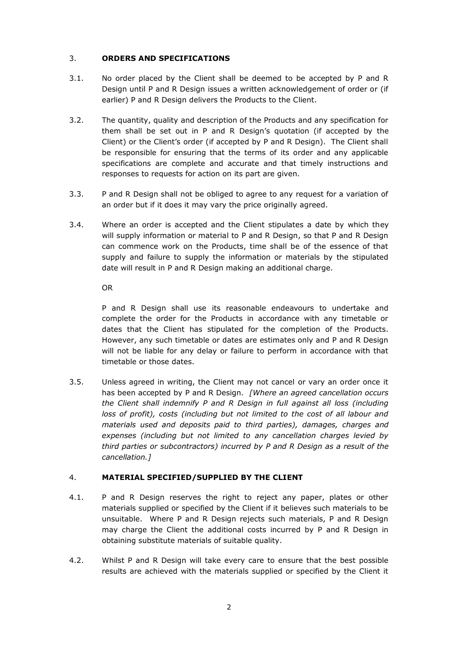# 3. **ORDERS AND SPECIFICATIONS**

- 3.1. No order placed by the Client shall be deemed to be accepted by P and R Design until P and R Design issues a written acknowledgement of order or (if earlier) P and R Design delivers the Products to the Client.
- 3.2. The quantity, quality and description of the Products and any specification for them shall be set out in P and R Design's quotation (if accepted by the Client) or the Client's order (if accepted by P and R Design). The Client shall be responsible for ensuring that the terms of its order and any applicable specifications are complete and accurate and that timely instructions and responses to requests for action on its part are given.
- 3.3. P and R Design shall not be obliged to agree to any request for a variation of an order but if it does it may vary the price originally agreed.
- 3.4. Where an order is accepted and the Client stipulates a date by which they will supply information or material to P and R Design, so that P and R Design can commence work on the Products, time shall be of the essence of that supply and failure to supply the information or materials by the stipulated date will result in P and R Design making an additional charge.

OR

P and R Design shall use its reasonable endeavours to undertake and complete the order for the Products in accordance with any timetable or dates that the Client has stipulated for the completion of the Products. However, any such timetable or dates are estimates only and P and R Design will not be liable for any delay or failure to perform in accordance with that timetable or those dates.

3.5. Unless agreed in writing, the Client may not cancel or vary an order once it has been accepted by P and R Design. *[Where an agreed cancellation occurs the Client shall indemnify P and R Design in full against all loss (including loss of profit), costs (including but not limited to the cost of all labour and materials used and deposits paid to third parties), damages, charges and expenses (including but not limited to any cancellation charges levied by third parties or subcontractors) incurred by P and R Design as a result of the cancellation.]*

# 4. **MATERIAL SPECIFIED/SUPPLIED BY THE CLIENT**

- 4.1. P and R Design reserves the right to reject any paper, plates or other materials supplied or specified by the Client if it believes such materials to be unsuitable. Where P and R Design rejects such materials, P and R Design may charge the Client the additional costs incurred by P and R Design in obtaining substitute materials of suitable quality.
- 4.2. Whilst P and R Design will take every care to ensure that the best possible results are achieved with the materials supplied or specified by the Client it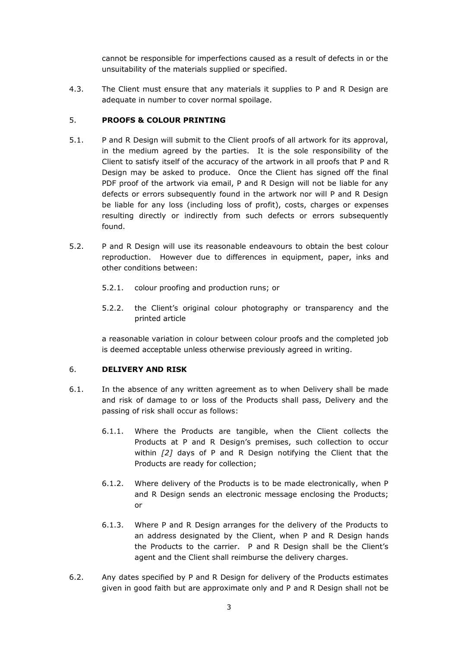cannot be responsible for imperfections caused as a result of defects in or the unsuitability of the materials supplied or specified.

4.3. The Client must ensure that any materials it supplies to P and R Design are adequate in number to cover normal spoilage.

#### 5. **PROOFS & COLOUR PRINTING**

- 5.1. P and R Design will submit to the Client proofs of all artwork for its approval, in the medium agreed by the parties. It is the sole responsibility of the Client to satisfy itself of the accuracy of the artwork in all proofs that P and R Design may be asked to produce. Once the Client has signed off the final PDF proof of the artwork via email, P and R Design will not be liable for any defects or errors subsequently found in the artwork nor will P and R Design be liable for any loss (including loss of profit), costs, charges or expenses resulting directly or indirectly from such defects or errors subsequently found.
- 5.2. P and R Design will use its reasonable endeavours to obtain the best colour reproduction. However due to differences in equipment, paper, inks and other conditions between:
	- 5.2.1. colour proofing and production runs; or
	- 5.2.2. the Client's original colour photography or transparency and the printed article

a reasonable variation in colour between colour proofs and the completed job is deemed acceptable unless otherwise previously agreed in writing.

#### 6. **DELIVERY AND RISK**

- 6.1. In the absence of any written agreement as to when Delivery shall be made and risk of damage to or loss of the Products shall pass, Delivery and the passing of risk shall occur as follows:
	- 6.1.1. Where the Products are tangible, when the Client collects the Products at P and R Design's premises, such collection to occur within *[2]* days of P and R Design notifying the Client that the Products are ready for collection;
	- 6.1.2. Where delivery of the Products is to be made electronically, when P and R Design sends an electronic message enclosing the Products; or
	- 6.1.3. Where P and R Design arranges for the delivery of the Products to an address designated by the Client, when P and R Design hands the Products to the carrier. P and R Design shall be the Client's agent and the Client shall reimburse the delivery charges.
- 6.2. Any dates specified by P and R Design for delivery of the Products estimates given in good faith but are approximate only and P and R Design shall not be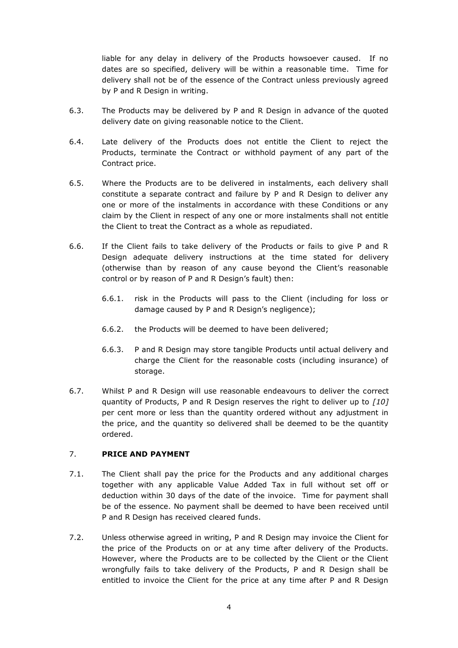liable for any delay in delivery of the Products howsoever caused. If no dates are so specified, delivery will be within a reasonable time. Time for delivery shall not be of the essence of the Contract unless previously agreed by P and R Design in writing.

- 6.3. The Products may be delivered by P and R Design in advance of the quoted delivery date on giving reasonable notice to the Client.
- 6.4. Late delivery of the Products does not entitle the Client to reject the Products, terminate the Contract or withhold payment of any part of the Contract price.
- 6.5. Where the Products are to be delivered in instalments, each delivery shall constitute a separate contract and failure by P and R Design to deliver any one or more of the instalments in accordance with these Conditions or any claim by the Client in respect of any one or more instalments shall not entitle the Client to treat the Contract as a whole as repudiated.
- 6.6. If the Client fails to take delivery of the Products or fails to give P and R Design adequate delivery instructions at the time stated for delivery (otherwise than by reason of any cause beyond the Client's reasonable control or by reason of P and R Design's fault) then:
	- 6.6.1. risk in the Products will pass to the Client (including for loss or damage caused by P and R Design's negligence);
	- 6.6.2. the Products will be deemed to have been delivered;
	- 6.6.3. P and R Design may store tangible Products until actual delivery and charge the Client for the reasonable costs (including insurance) of storage.
- 6.7. Whilst P and R Design will use reasonable endeavours to deliver the correct quantity of Products, P and R Design reserves the right to deliver up to *[10]* per cent more or less than the quantity ordered without any adjustment in the price, and the quantity so delivered shall be deemed to be the quantity ordered.

#### 7. **PRICE AND PAYMENT**

- 7.1. The Client shall pay the price for the Products and any additional charges together with any applicable Value Added Tax in full without set off or deduction within 30 days of the date of the invoice. Time for payment shall be of the essence. No payment shall be deemed to have been received until P and R Design has received cleared funds.
- 7.2. Unless otherwise agreed in writing, P and R Design may invoice the Client for the price of the Products on or at any time after delivery of the Products. However, where the Products are to be collected by the Client or the Client wrongfully fails to take delivery of the Products, P and R Design shall be entitled to invoice the Client for the price at any time after P and R Design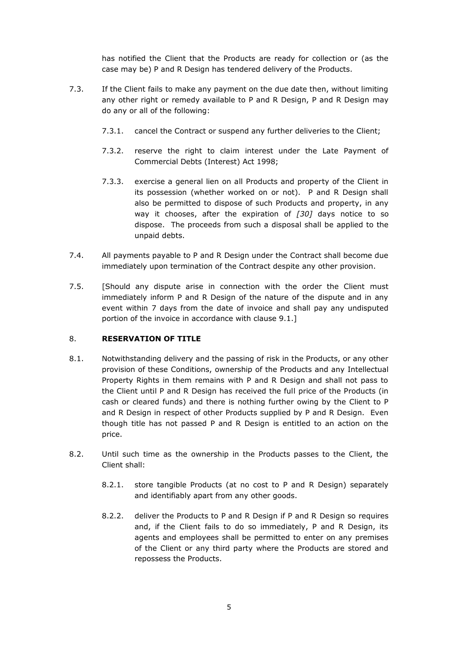has notified the Client that the Products are ready for collection or (as the case may be) P and R Design has tendered delivery of the Products.

- 7.3. If the Client fails to make any payment on the due date then, without limiting any other right or remedy available to P and R Design, P and R Design may do any or all of the following:
	- 7.3.1. cancel the Contract or suspend any further deliveries to the Client;
	- 7.3.2. reserve the right to claim interest under the Late Payment of Commercial Debts (Interest) Act 1998;
	- 7.3.3. exercise a general lien on all Products and property of the Client in its possession (whether worked on or not). P and R Design shall also be permitted to dispose of such Products and property, in any way it chooses, after the expiration of *[30]* days notice to so dispose. The proceeds from such a disposal shall be applied to the unpaid debts.
- 7.4. All payments payable to P and R Design under the Contract shall become due immediately upon termination of the Contract despite any other provision.
- 7.5. [Should any dispute arise in connection with the order the Client must immediately inform P and R Design of the nature of the dispute and in any event within 7 days from the date of invoice and shall pay any undisputed portion of the invoice in accordance with clause 9.1.]

# 8. **RESERVATION OF TITLE**

- 8.1. Notwithstanding delivery and the passing of risk in the Products, or any other provision of these Conditions, ownership of the Products and any Intellectual Property Rights in them remains with P and R Design and shall not pass to the Client until P and R Design has received the full price of the Products (in cash or cleared funds) and there is nothing further owing by the Client to P and R Design in respect of other Products supplied by P and R Design. Even though title has not passed P and R Design is entitled to an action on the price.
- 8.2. Until such time as the ownership in the Products passes to the Client, the Client shall:
	- 8.2.1. store tangible Products (at no cost to P and R Design) separately and identifiably apart from any other goods.
	- 8.2.2. deliver the Products to P and R Design if P and R Design so requires and, if the Client fails to do so immediately, P and R Design, its agents and employees shall be permitted to enter on any premises of the Client or any third party where the Products are stored and repossess the Products.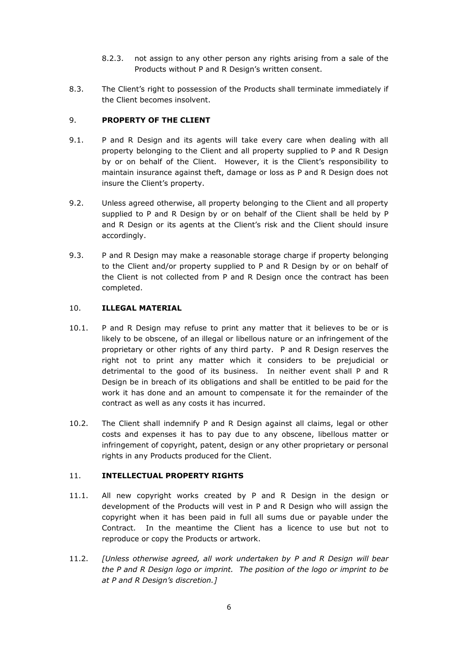- 8.2.3. not assign to any other person any rights arising from a sale of the Products without P and R Design's written consent.
- 8.3. The Client's right to possession of the Products shall terminate immediately if the Client becomes insolvent.

# 9. **PROPERTY OF THE CLIENT**

- 9.1. P and R Design and its agents will take every care when dealing with all property belonging to the Client and all property supplied to P and R Design by or on behalf of the Client. However, it is the Client's responsibility to maintain insurance against theft, damage or loss as P and R Design does not insure the Client's property.
- 9.2. Unless agreed otherwise, all property belonging to the Client and all property supplied to P and R Design by or on behalf of the Client shall be held by P and R Design or its agents at the Client's risk and the Client should insure accordingly.
- 9.3. P and R Design may make a reasonable storage charge if property belonging to the Client and/or property supplied to P and R Design by or on behalf of the Client is not collected from P and R Design once the contract has been completed.

#### 10. **ILLEGAL MATERIAL**

- 10.1. P and R Design may refuse to print any matter that it believes to be or is likely to be obscene, of an illegal or libellous nature or an infringement of the proprietary or other rights of any third party. P and R Design reserves the right not to print any matter which it considers to be prejudicial or detrimental to the good of its business. In neither event shall P and R Design be in breach of its obligations and shall be entitled to be paid for the work it has done and an amount to compensate it for the remainder of the contract as well as any costs it has incurred.
- 10.2. The Client shall indemnify P and R Design against all claims, legal or other costs and expenses it has to pay due to any obscene, libellous matter or infringement of copyright, patent, design or any other proprietary or personal rights in any Products produced for the Client.

#### 11. **INTELLECTUAL PROPERTY RIGHTS**

- 11.1. All new copyright works created by P and R Design in the design or development of the Products will vest in P and R Design who will assign the copyright when it has been paid in full all sums due or payable under the Contract. In the meantime the Client has a licence to use but not to reproduce or copy the Products or artwork.
- 11.2. *[Unless otherwise agreed, all work undertaken by P and R Design will bear the P and R Design logo or imprint. The position of the logo or imprint to be at P and R Design's discretion.]*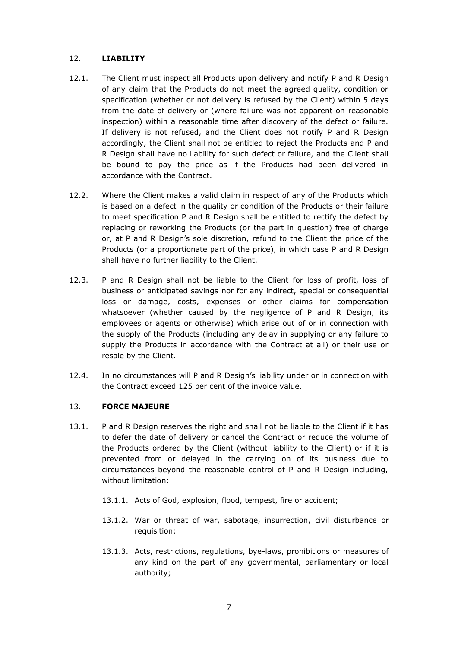# 12. **LIABILITY**

- 12.1. The Client must inspect all Products upon delivery and notify P and R Design of any claim that the Products do not meet the agreed quality, condition or specification (whether or not delivery is refused by the Client) within 5 days from the date of delivery or (where failure was not apparent on reasonable inspection) within a reasonable time after discovery of the defect or failure. If delivery is not refused, and the Client does not notify P and R Design accordingly, the Client shall not be entitled to reject the Products and P and R Design shall have no liability for such defect or failure, and the Client shall be bound to pay the price as if the Products had been delivered in accordance with the Contract.
- 12.2. Where the Client makes a valid claim in respect of any of the Products which is based on a defect in the quality or condition of the Products or their failure to meet specification P and R Design shall be entitled to rectify the defect by replacing or reworking the Products (or the part in question) free of charge or, at P and R Design's sole discretion, refund to the Client the price of the Products (or a proportionate part of the price), in which case P and R Design shall have no further liability to the Client.
- 12.3. P and R Design shall not be liable to the Client for loss of profit, loss of business or anticipated savings nor for any indirect, special or consequential loss or damage, costs, expenses or other claims for compensation whatsoever (whether caused by the negligence of P and R Design, its employees or agents or otherwise) which arise out of or in connection with the supply of the Products (including any delay in supplying or any failure to supply the Products in accordance with the Contract at all) or their use or resale by the Client.
- 12.4. In no circumstances will P and R Design's liability under or in connection with the Contract exceed 125 per cent of the invoice value.

# 13. **FORCE MAJEURE**

- 13.1. P and R Design reserves the right and shall not be liable to the Client if it has to defer the date of delivery or cancel the Contract or reduce the volume of the Products ordered by the Client (without liability to the Client) or if it is prevented from or delayed in the carrying on of its business due to circumstances beyond the reasonable control of P and R Design including, without limitation:
	- 13.1.1. Acts of God, explosion, flood, tempest, fire or accident;
	- 13.1.2. War or threat of war, sabotage, insurrection, civil disturbance or requisition;
	- 13.1.3. Acts, restrictions, regulations, bye-laws, prohibitions or measures of any kind on the part of any governmental, parliamentary or local authority;